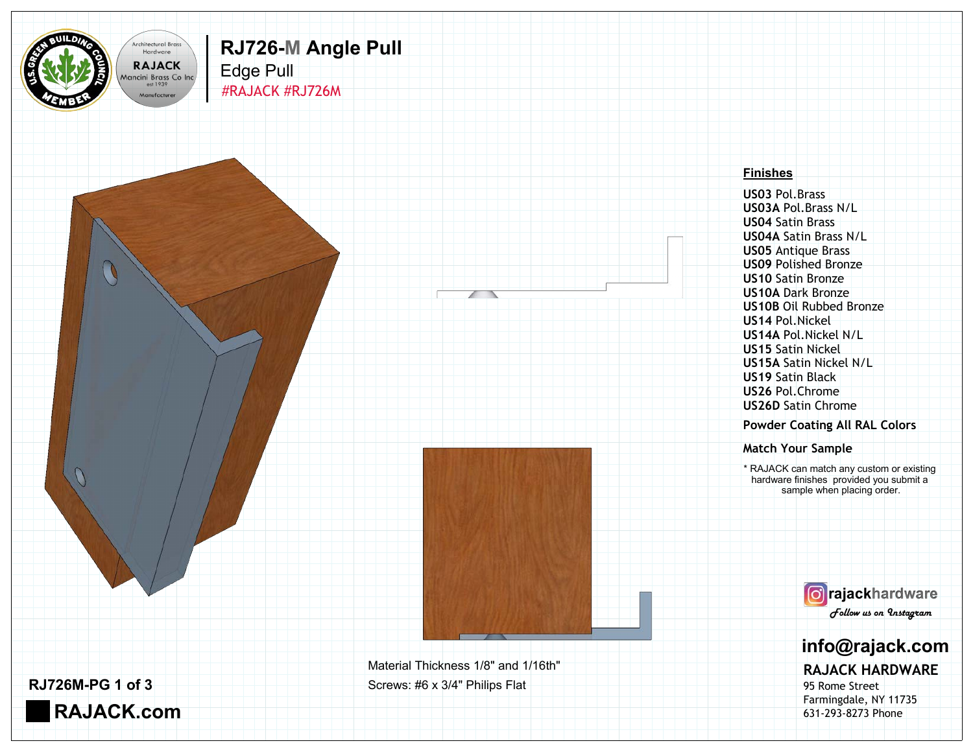

 $\mathcal{L}$ 

## Wanufacturer #RAJACK #RJ726M Edge Pull **RJ726-M Angle Pull**



**US03** Pol.Brass **US03A** Pol.Brass N/L **US04** Satin Brass **US04A** Satin Brass N/L **US05** Antique Brass **US09** Polished Bronze **US10** Satin Bronze **US10A** Dark Bronze **US10B** Oil Rubbed Bronze **US14** Pol.Nickel **US14A** Pol.Nickel N/L **US15** Satin Nickel **US15A** Satin Nickel N/L **US19** Satin Black **US26** Pol.Chrome **US26D** Satin Chrome

**Powder Coating All RAL Colors**

**Match Your Sample**

\* RAJACK can match any custom or existing hardware finishes provided you submit a sample when placing order.



## **info@rajack.com**

## **RAJACK HARDWARE**

95 Rome Street Farmingdale, NY 11735 631-293-8273 Phone

**RAJACK.com**

Material Thickness 1/8" and 1/16th" **RJ726M-PG 1 of 3** Screws: #6 x 3/4" Philips Flat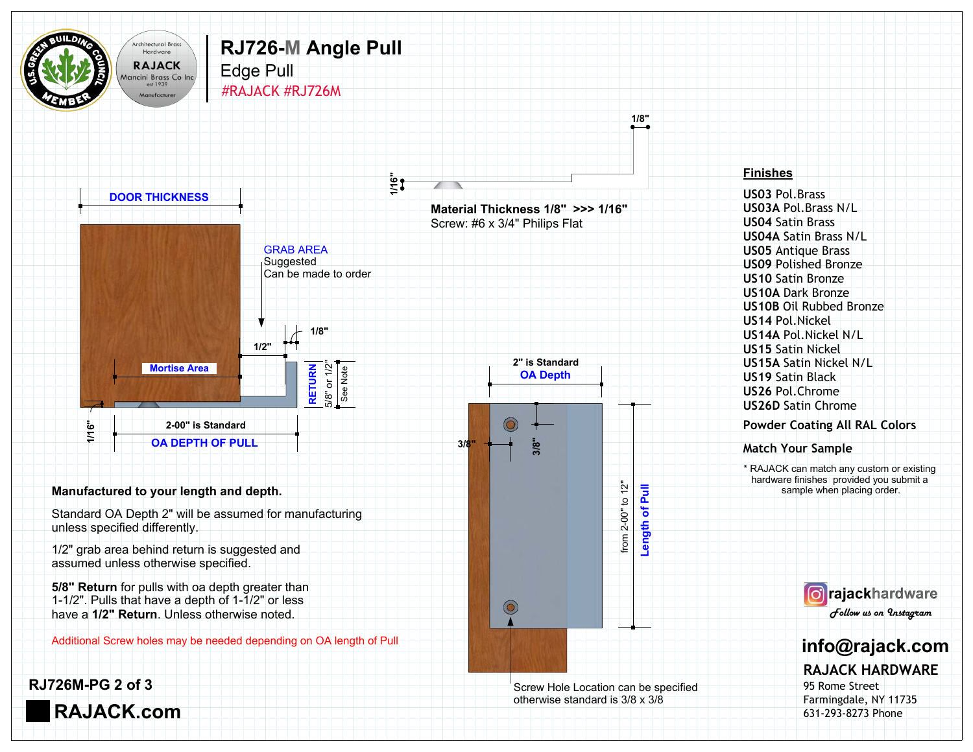